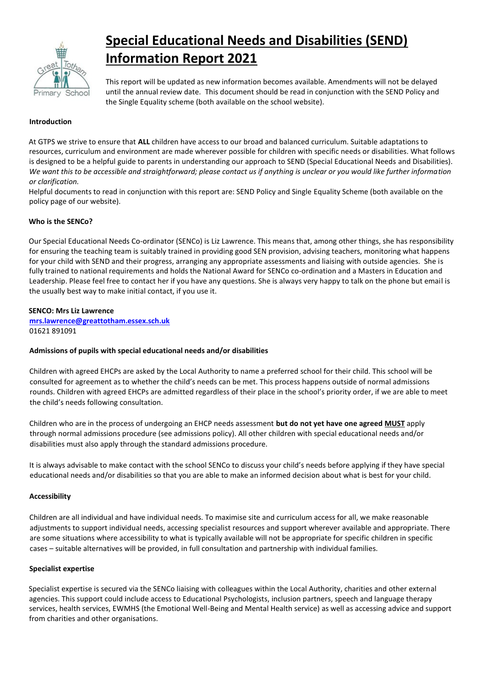

# **Special Educational Needs and Disabilities (SEND) Information Report 2021**

This report will be updated as new information becomes available. Amendments will not be delayed until the annual review date. This document should be read in conjunction with the SEND Policy and the Single Equality scheme (both available on the school website).

### **Introduction**

At GTPS we strive to ensure that **ALL** children have access to our broad and balanced curriculum. Suitable adaptations to resources, curriculum and environment are made wherever possible for children with specific needs or disabilities. What follows is designed to be a helpful guide to parents in understanding our approach to SEND (Special Educational Needs and Disabilities). *We want this to be accessible and straightforward; please contact us if anything is unclear or you would like further information or clarification.* 

Helpful documents to read in conjunction with this report are: SEND Policy and Single Equality Scheme (both available on the policy page of our website).

# **Who is the SENCo?**

Our Special Educational Needs Co-ordinator (SENCo) is Liz Lawrence. This means that, among other things, she has responsibility for ensuring the teaching team is suitably trained in providing good SEN provision, advising teachers, monitoring what happens for your child with SEND and their progress, arranging any appropriate assessments and liaising with outside agencies. She is fully trained to national requirements and holds the National Award for SENCo co-ordination and a Masters in Education and Leadership. Please feel free to contact her if you have any questions. She is always very happy to talk on the phone but email is the usually best way to make initial contact, if you use it.

#### **SENCO: Mrs Liz Lawrence**

**mrs.lawrence@greattotham.essex.sch.uk**  01621 891091

#### **Admissions of pupils with special educational needs and/or disabilities**

Children with agreed EHCPs are asked by the Local Authority to name a preferred school for their child. This school will be consulted for agreement as to whether the child's needs can be met. This process happens outside of normal admissions rounds. Children with agreed EHCPs are admitted regardless of their place in the school's priority order, if we are able to meet the child's needs following consultation.

Children who are in the process of undergoing an EHCP needs assessment **but do not yet have one agreed MUST** apply through normal admissions procedure (see admissions policy). All other children with special educational needs and/or disabilities must also apply through the standard admissions procedure.

It is always advisable to make contact with the school SENCo to discuss your child's needs before applying if they have special educational needs and/or disabilities so that you are able to make an informed decision about what is best for your child.

#### **Accessibility**

Children are all individual and have individual needs. To maximise site and curriculum access for all, we make reasonable adjustments to support individual needs, accessing specialist resources and support wherever available and appropriate. There are some situations where accessibility to what is typically available will not be appropriate for specific children in specific cases – suitable alternatives will be provided, in full consultation and partnership with individual families.

#### **Specialist expertise**

Specialist expertise is secured via the SENCo liaising with colleagues within the Local Authority, charities and other external agencies. This support could include access to Educational Psychologists, inclusion partners, speech and language therapy services, health services, EWMHS (the Emotional Well-Being and Mental Health service) as well as accessing advice and support from charities and other organisations.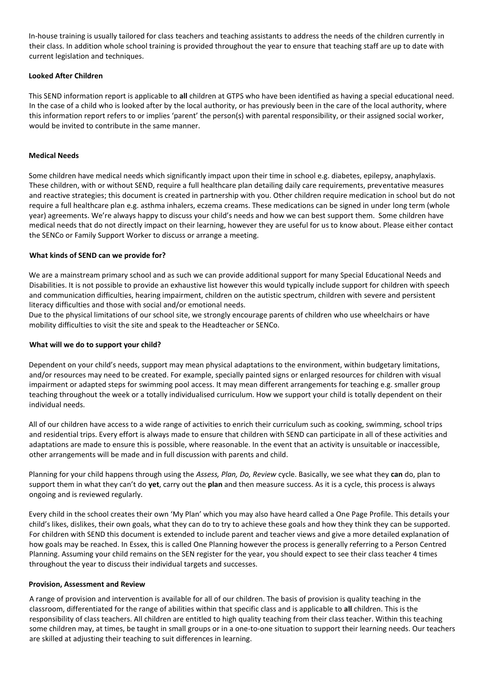In-house training is usually tailored for class teachers and teaching assistants to address the needs of the children currently in their class. In addition whole school training is provided throughout the year to ensure that teaching staff are up to date with current legislation and techniques.

### **Looked After Children**

This SEND information report is applicable to **all** children at GTPS who have been identified as having a special educational need. In the case of a child who is looked after by the local authority, or has previously been in the care of the local authority, where this information report refers to or implies 'parent' the person(s) with parental responsibility, or their assigned social worker, would be invited to contribute in the same manner.

### **Medical Needs**

Some children have medical needs which significantly impact upon their time in school e.g. diabetes, epilepsy, anaphylaxis. These children, with or without SEND, require a full healthcare plan detailing daily care requirements, preventative measures and reactive strategies; this document is created in partnership with you. Other children require medication in school but do not require a full healthcare plan e.g. asthma inhalers, eczema creams. These medications can be signed in under long term (whole year) agreements. We're always happy to discuss your child's needs and how we can best support them. Some children have medical needs that do not directly impact on their learning, however they are useful for us to know about. Please either contact the SENCo or Family Support Worker to discuss or arrange a meeting.

# **What kinds of SEND can we provide for?**

We are a mainstream primary school and as such we can provide additional support for many Special Educational Needs and Disabilities. It is not possible to provide an exhaustive list however this would typically include support for children with speech and communication difficulties, hearing impairment, children on the autistic spectrum, children with severe and persistent literacy difficulties and those with social and/or emotional needs.

Due to the physical limitations of our school site, we strongly encourage parents of children who use wheelchairs or have mobility difficulties to visit the site and speak to the Headteacher or SENCo.

#### **What will we do to support your child?**

Dependent on your child's needs, support may mean physical adaptations to the environment, within budgetary limitations, and/or resources may need to be created. For example, specially painted signs or enlarged resources for children with visual impairment or adapted steps for swimming pool access. It may mean different arrangements for teaching e.g. smaller group teaching throughout the week or a totally individualised curriculum. How we support your child is totally dependent on their individual needs.

All of our children have access to a wide range of activities to enrich their curriculum such as cooking, swimming, school trips and residential trips. Every effort is always made to ensure that children with SEND can participate in all of these activities and adaptations are made to ensure this is possible, where reasonable. In the event that an activity is unsuitable or inaccessible, other arrangements will be made and in full discussion with parents and child.

Planning for your child happens through using the *Assess, Plan, Do, Review* cycle. Basically, we see what they **can** do, plan to support them in what they can't do **yet**, carry out the **plan** and then measure success. As it is a cycle, this process is always ongoing and is reviewed regularly.

Every child in the school creates their own 'My Plan' which you may also have heard called a One Page Profile. This details your child's likes, dislikes, their own goals, what they can do to try to achieve these goals and how they think they can be supported. For children with SEND this document is extended to include parent and teacher views and give a more detailed explanation of how goals may be reached. In Essex, this is called One Planning however the process is generally referring to a Person Centred Planning. Assuming your child remains on the SEN register for the year, you should expect to see their class teacher 4 times throughout the year to discuss their individual targets and successes.

#### **Provision, Assessment and Review**

A range of provision and intervention is available for all of our children. The basis of provision is quality teaching in the classroom, differentiated for the range of abilities within that specific class and is applicable to **all** children. This is the responsibility of class teachers. All children are entitled to high quality teaching from their class teacher. Within this teaching some children may, at times, be taught in small groups or in a one-to-one situation to support their learning needs. Our teachers are skilled at adjusting their teaching to suit differences in learning.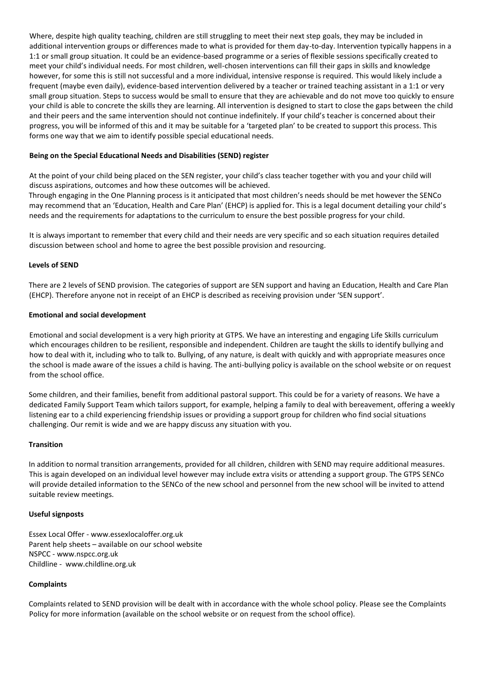Where, despite high quality teaching, children are still struggling to meet their next step goals, they may be included in additional intervention groups or differences made to what is provided for them day-to-day. Intervention typically happens in a 1:1 or small group situation. It could be an evidence-based programme or a series of flexible sessions specifically created to meet your child's individual needs. For most children, well-chosen interventions can fill their gaps in skills and knowledge however, for some this is still not successful and a more individual, intensive response is required. This would likely include a frequent (maybe even daily), evidence-based intervention delivered by a teacher or trained teaching assistant in a 1:1 or very small group situation. Steps to success would be small to ensure that they are achievable and do not move too quickly to ensure your child is able to concrete the skills they are learning. All intervention is designed to start to close the gaps between the child and their peers and the same intervention should not continue indefinitely. If your child's teacher is concerned about their progress, you will be informed of this and it may be suitable for a 'targeted plan' to be created to support this process. This forms one way that we aim to identify possible special educational needs.

#### **Being on the Special Educational Needs and Disabilities (SEND) register**

At the point of your child being placed on the SEN register, your child's class teacher together with you and your child will discuss aspirations, outcomes and how these outcomes will be achieved.

Through engaging in the One Planning process is it anticipated that most children's needs should be met however the SENCo may recommend that an 'Education, Health and Care Plan' (EHCP) is applied for. This is a legal document detailing your child's needs and the requirements for adaptations to the curriculum to ensure the best possible progress for your child.

It is always important to remember that every child and their needs are very specific and so each situation requires detailed discussion between school and home to agree the best possible provision and resourcing.

#### **Levels of SEND**

There are 2 levels of SEND provision. The categories of support are SEN support and having an Education, Health and Care Plan (EHCP). Therefore anyone not in receipt of an EHCP is described as receiving provision under 'SEN support'.

#### **Emotional and social development**

Emotional and social development is a very high priority at GTPS. We have an interesting and engaging Life Skills curriculum which encourages children to be resilient, responsible and independent. Children are taught the skills to identify bullying and how to deal with it, including who to talk to. Bullying, of any nature, is dealt with quickly and with appropriate measures once the school is made aware of the issues a child is having. The anti-bullying policy is available on the school website or on request from the school office.

Some children, and their families, benefit from additional pastoral support. This could be for a variety of reasons. We have a dedicated Family Support Team which tailors support, for example, helping a family to deal with bereavement, offering a weekly listening ear to a child experiencing friendship issues or providing a support group for children who find social situations challenging. Our remit is wide and we are happy discuss any situation with you.

#### **Transition**

In addition to normal transition arrangements, provided for all children, children with SEND may require additional measures. This is again developed on an individual level however may include extra visits or attending a support group. The GTPS SENCo will provide detailed information to the SENCo of the new school and personnel from the new school will be invited to attend suitable review meetings.

#### **Useful signposts**

Essex Local Offer - www.essexlocaloffer.org.uk Parent help sheets – available on our school website NSPCC - www.nspcc.org.uk Childline - www.childline.org.uk

#### **Complaints**

Complaints related to SEND provision will be dealt with in accordance with the whole school policy. Please see the Complaints Policy for more information (available on the school website or on request from the school office).